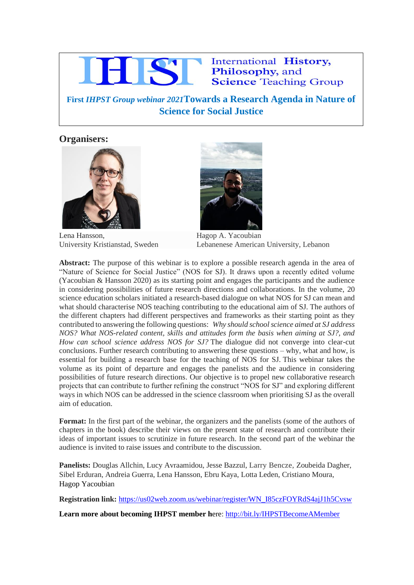

## International History, Philosophy, and **Science Teaching Group**

**First** *IHPST Group webinar 2021***Towards a Research Agenda in Nature of Science for Social Justice**

**April 13, 2 p.m-3.30 p.m GMT**

## **Organisers:**



Lena Hansson, Hagop A. Yacoubian



University Kristianstad, Sweden Lebanenese American University, Lebanon

**Abstract:** The purpose of this webinar is to explore a possible research agenda in the area of "Nature of Science for Social Justice" (NOS for SJ). It draws upon a recently edited volume (Yacoubian & Hansson 2020) as its starting point and engages the participants and the audience in considering possibilities of future research directions and collaborations. In the volume, 20 science education scholars initiated a research-based dialogue on what NOS for SJ can mean and what should characterise NOS teaching contributing to the educational aim of SJ. The authors of the different chapters had different perspectives and frameworks as their starting point as they contributed to answering the following questions: *Why should school science aimed at SJ address NOS? What NOS-related content, skills and attitudes form the basis when aiming at SJ?, and How can school science address NOS for SJ?* The dialogue did not converge into clear-cut conclusions. Further research contributing to answering these questions – why, what and how, is essential for building a research base for the teaching of NOS for SJ. This webinar takes the volume as its point of departure and engages the panelists and the audience in considering possibilities of future research directions. Our objective is to propel new collaborative research projects that can contribute to further refining the construct "NOS for SJ" and exploring different ways in which NOS can be addressed in the science classroom when prioritising SJ as the overall aim of education.

**Format:** In the first part of the webinar, the organizers and the panelists (some of the authors of chapters in the book) describe their views on the present state of research and contribute their ideas of important issues to scrutinize in future research. In the second part of the webinar the audience is invited to raise issues and contribute to the discussion.

**Panelists:** Douglas Allchin, Lucy Avraamidou, Jesse Bazzul, Larry Bencze, Zoubeida Dagher, Sibel Erduran, Andreia Guerra, Lena Hansson, Ebru Kaya, Lotta Leden, Cristiano Moura, Hagop Yacoubian

**Registration link:** [https://us02web.zoom.us/webinar/register/WN\\_I85czFOYRdS4ajJ1h5Cvsw](https://us02web.zoom.us/webinar/register/WN_I85czFOYRdS4ajJ1h5Cvsw)

**Learn more about becoming IHPST member h**ere: <http://bit.ly/IHPSTBecomeAMember>